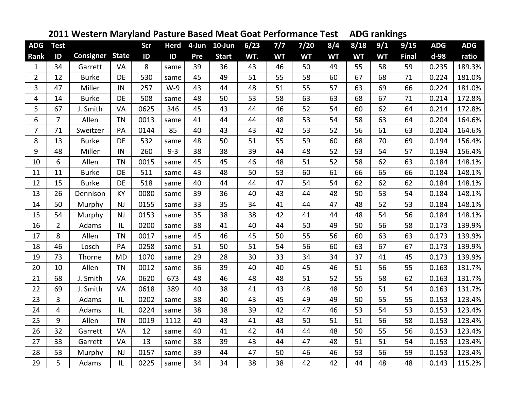|                |                |                  | . <i>.</i> . |      |             |     |              |      |           |           |           |           |           | ס'           |            |            |
|----------------|----------------|------------------|--------------|------|-------------|-----|--------------|------|-----------|-----------|-----------|-----------|-----------|--------------|------------|------------|
| <b>ADG</b>     | <b>Test</b>    |                  |              | Scr  | <b>Herd</b> |     | 4-Jun 10-Jun | 6/23 | 7/7       | $7/20$    | 8/4       | 8/18      | 9/1       | 9/15         | <b>ADG</b> | <b>ADG</b> |
| Rank           | ID             | <b>Consigner</b> | <b>State</b> | ID   | ID          | Pre | <b>Start</b> | WT.  | <b>WT</b> | <b>WT</b> | <b>WT</b> | <b>WT</b> | <b>WT</b> | <b>Final</b> | d-98       | ratio      |
| $\mathbf{1}$   | 34             | Garrett          | VA           | 8    | same        | 39  | 36           | 43   | 46        | 50        | 49        | 55        | 58        | 59           | 0.235      | 189.3%     |
| $\overline{2}$ | 12             | <b>Burke</b>     | <b>DE</b>    | 530  | same        | 45  | 49           | 51   | 55        | 58        | 60        | 67        | 68        | 71           | 0.224      | 181.0%     |
| 3              | 47             | Miller           | IN           | 257  | $W-9$       | 43  | 44           | 48   | 51        | 55        | 57        | 63        | 69        | 66           | 0.224      | 181.0%     |
| 4              | 14             | <b>Burke</b>     | <b>DE</b>    | 508  | same        | 48  | 50           | 53   | 58        | 63        | 63        | 68        | 67        | 71           | 0.214      | 172.8%     |
| 5              | 67             | J. Smith         | VA           | 0625 | 346         | 45  | 43           | 44   | 46        | 52        | 54        | 60        | 62        | 64           | 0.214      | 172.8%     |
| 6              | $\overline{7}$ | Allen            | <b>TN</b>    | 0013 | same        | 41  | 44           | 44   | 48        | 53        | 54        | 58        | 63        | 64           | 0.204      | 164.6%     |
| $\overline{7}$ | 71             | Sweitzer         | PA           | 0144 | 85          | 40  | 43           | 43   | 42        | 53        | 52        | 56        | 61        | 63           | 0.204      | 164.6%     |
| 8              | 13             | <b>Burke</b>     | DE           | 532  | same        | 48  | 50           | 51   | 55        | 59        | 60        | 68        | 70        | 69           | 0.194      | 156.4%     |
| 9              | 48             | Miller           | IN           | 260  | $9 - 3$     | 38  | 38           | 39   | 44        | 48        | 52        | 53        | 54        | 57           | 0.194      | 156.4%     |
| 10             | 6              | Allen            | <b>TN</b>    | 0015 | same        | 45  | 45           | 46   | 48        | 51        | 52        | 58        | 62        | 63           | 0.184      | 148.1%     |
| 11             | 11             | <b>Burke</b>     | <b>DE</b>    | 511  | same        | 43  | 48           | 50   | 53        | 60        | 61        | 66        | 65        | 66           | 0.184      | 148.1%     |
| 12             | 15             | <b>Burke</b>     | DE           | 518  | same        | 40  | 44           | 44   | 47        | 54        | 54        | 62        | 62        | 62           | 0.184      | 148.1%     |
| 13             | 26             | Dennison         | KY           | 0080 | same        | 39  | 36           | 40   | 43        | 44        | 48        | 50        | 53        | 54           | 0.184      | 148.1%     |
| 14             | 50             | Murphy           | <b>NJ</b>    | 0155 | same        | 33  | 35           | 34   | 41        | 44        | 47        | 48        | 52        | 53           | 0.184      | 148.1%     |
| 15             | 54             | Murphy           | <b>NJ</b>    | 0153 | same        | 35  | 38           | 38   | 42        | 41        | 44        | 48        | 54        | 56           | 0.184      | 148.1%     |
| 16             | $\overline{2}$ | Adams            | IL           | 0200 | same        | 38  | 41           | 40   | 44        | 50        | 49        | 50        | 56        | 58           | 0.173      | 139.9%     |
| 17             | 8              | Allen            | <b>TN</b>    | 0017 | same        | 45  | 46           | 45   | 50        | 55        | 56        | 60        | 63        | 63           | 0.173      | 139.9%     |
| 18             | 46             | Losch            | PA           | 0258 | same        | 51  | 50           | 51   | 54        | 56        | 60        | 63        | 67        | 67           | 0.173      | 139.9%     |
| 19             | 73             | Thorne           | <b>MD</b>    | 1070 | same        | 29  | 28           | 30   | 33        | 34        | 34        | 37        | 41        | 45           | 0.173      | 139.9%     |
| 20             | 10             | Allen            | <b>TN</b>    | 0012 | same        | 36  | 39           | 40   | 40        | 45        | 46        | 51        | 56        | 55           | 0.163      | 131.7%     |
| 21             | 68             | J. Smith         | <b>VA</b>    | 0620 | 673         | 48  | 46           | 48   | 48        | 51        | 52        | 55        | 58        | 62           | 0.163      | 131.7%     |
| 22             | 69             | J. Smith         | VA           | 0618 | 389         | 40  | 38           | 41   | 43        | 48        | 48        | 50        | 51        | 54           | 0.163      | 131.7%     |
| 23             | 3              | Adams            | IL           | 0202 | same        | 38  | 40           | 43   | 45        | 49        | 49        | 50        | 55        | 55           | 0.153      | 123.4%     |
| 24             | $\overline{4}$ | Adams            | IL           | 0224 | same        | 38  | 38           | 39   | 42        | 47        | 46        | 53        | 54        | 53           | 0.153      | 123.4%     |
| 25             | 9              | Allen            | <b>TN</b>    | 0019 | 1112        | 40  | 43           | 41   | 43        | 50        | 51        | 51        | 56        | 58           | 0.153      | 123.4%     |
| 26             | 32             | Garrett          | VA           | 12   | same        | 40  | 41           | 42   | 44        | 44        | 48        | 50        | 55        | 56           | 0.153      | 123.4%     |
| 27             | 33             | Garrett          | VA           | 13   | same        | 38  | 39           | 43   | 44        | 47        | 48        | 51        | 51        | 54           | 0.153      | 123.4%     |
| 28             | 53             | Murphy           | <b>NJ</b>    | 0157 | same        | 39  | 44           | 47   | 50        | 46        | 46        | 53        | 56        | 59           | 0.153      | 123.4%     |
| 29             | 5              | Adams            | IL           | 0225 | same        | 34  | 34           | 38   | 38        | 42        | 42        | 44        | 48        | 48           | 0.143      | 115.2%     |

## **2011 Western Maryland Pasture Based Meat Goat Performance TestADG rankings**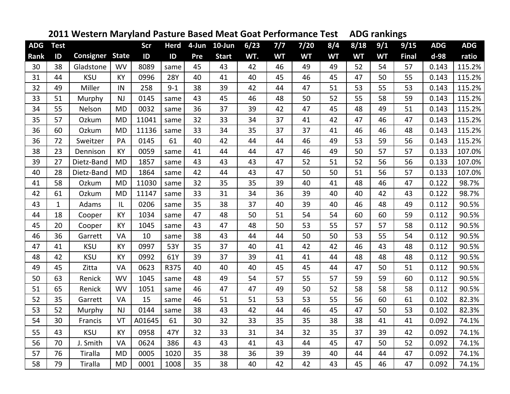|            |               |                  | -- ,         |        |             |     |              |      |           |           |           |           |           | о            |            |            |
|------------|---------------|------------------|--------------|--------|-------------|-----|--------------|------|-----------|-----------|-----------|-----------|-----------|--------------|------------|------------|
| <b>ADG</b> | <b>Test</b>   |                  |              | Scr    | <b>Herd</b> |     | 4-Jun 10-Jun | 6/23 | 7/7       | 7/20      | 8/4       | 8/18      | 9/1       | 9/15         | <b>ADG</b> | <b>ADG</b> |
| Rank       | $\mathsf{ID}$ | <b>Consigner</b> | <b>State</b> | ID     | ID          | Pre | <b>Start</b> | WT.  | <b>WT</b> | <b>WT</b> | <b>WT</b> | <b>WT</b> | <b>WT</b> | <b>Final</b> | d-98       | ratio      |
| 30         | 38            | Gladstone        | <b>WV</b>    | 8089   | same        | 45  | 43           | 42   | 46        | 49        | 49        | 52        | 54        | 57           | 0.143      | 115.2%     |
| 31         | 44            | <b>KSU</b>       | KY           | 0996   | <b>28Y</b>  | 40  | 41           | 40   | 45        | 46        | 45        | 47        | 50        | 55           | 0.143      | 115.2%     |
| 32         | 49            | Miller           | IN           | 258    | $9 - 1$     | 38  | 39           | 42   | 44        | 47        | 51        | 53        | 55        | 53           | 0.143      | 115.2%     |
| 33         | 51            | Murphy           | <b>NJ</b>    | 0145   | same        | 43  | 45           | 46   | 48        | 50        | 52        | 55        | 58        | 59           | 0.143      | 115.2%     |
| 34         | 55            | Nelson           | <b>MD</b>    | 0032   | same        | 36  | 37           | 39   | 42        | 47        | 45        | 48        | 49        | 51           | 0.143      | 115.2%     |
| 35         | 57            | Ozkum            | <b>MD</b>    | 11041  | same        | 32  | 33           | 34   | 37        | 41        | 42        | 47        | 46        | 47           | 0.143      | 115.2%     |
| 36         | 60            | Ozkum            | <b>MD</b>    | 11136  | same        | 33  | 34           | 35   | 37        | 37        | 41        | 46        | 46        | 48           | 0.143      | 115.2%     |
| 36         | 72            | Sweitzer         | PA           | 0145   | 61          | 40  | 42           | 44   | 44        | 46        | 49        | 53        | 59        | 56           | 0.143      | 115.2%     |
| 38         | 23            | Dennison         | <b>KY</b>    | 0059   | same        | 41  | 44           | 44   | 47        | 46        | 49        | 50        | 57        | 57           | 0.133      | 107.0%     |
| 39         | 27            | Dietz-Band       | <b>MD</b>    | 1857   | same        | 43  | 43           | 43   | 47        | 52        | 51        | 52        | 56        | 56           | 0.133      | 107.0%     |
| 40         | 28            | Dietz-Band       | <b>MD</b>    | 1864   | same        | 42  | 44           | 43   | 47        | 50        | 50        | 51        | 56        | 57           | 0.133      | 107.0%     |
| 41         | 58            | Ozkum            | <b>MD</b>    | 11030  | same        | 32  | 35           | 35   | 39        | 40        | 41        | 48        | 46        | 47           | 0.122      | 98.7%      |
| 42         | 61            | Ozkum            | <b>MD</b>    | 11147  | same        | 33  | 31           | 34   | 36        | 39        | 40        | 40        | 42        | 43           | 0.122      | 98.7%      |
| 43         | $\mathbf{1}$  | Adams            | IL           | 0206   | same        | 35  | 38           | 37   | 40        | 39        | 40        | 46        | 48        | 49           | 0.112      | 90.5%      |
| 44         | 18            | Cooper           | KY           | 1034   | same        | 47  | 48           | 50   | 51        | 54        | 54        | 60        | 60        | 59           | 0.112      | 90.5%      |
| 45         | 20            | Cooper           | <b>KY</b>    | 1045   | same        | 43  | 47           | 48   | 50        | 53        | 55        | 57        | 57        | 58           | 0.112      | 90.5%      |
| 46         | 36            | Garrett          | VA           | 10     | same        | 38  | 43           | 44   | 44        | 50        | 50        | 53        | 55        | 54           | 0.112      | 90.5%      |
| 47         | 41            | <b>KSU</b>       | KY           | 0997   | 53Y         | 35  | 37           | 40   | 41        | 42        | 42        | 46        | 43        | 48           | 0.112      | 90.5%      |
| 48         | 42            | <b>KSU</b>       | KY           | 0992   | 61Y         | 39  | 37           | 39   | 41        | 41        | 44        | 48        | 48        | 48           | 0.112      | 90.5%      |
| 49         | 45            | Zitta            | VA           | 0623   | R375        | 40  | 40           | 40   | 45        | 45        | 44        | 47        | 50        | 51           | 0.112      | 90.5%      |
| 50         | 63            | Renick           | <b>WV</b>    | 1045   | same        | 48  | 49           | 54   | 57        | 55        | 57        | 59        | 59        | 60           | 0.112      | 90.5%      |
| 51         | 65            | Renick           | <b>WV</b>    | 1051   | same        | 46  | 47           | 47   | 49        | 50        | 52        | 58        | 58        | 58           | 0.112      | 90.5%      |
| 52         | 35            | Garrett          | VA           | 15     | same        | 46  | 51           | 51   | 53        | 53        | 55        | 56        | 60        | 61           | 0.102      | 82.3%      |
| 53         | 52            | Murphy           | NJ           | 0144   | same        | 38  | 43           | 42   | 44        | 46        | 45        | 47        | 50        | 53           | 0.102      | 82.3%      |
| 54         | 30            | Francis          | VT           | A01645 | 61          | 30  | 32           | 33   | 35        | 35        | 38        | 38        | 41        | 41           | 0.092      | 74.1%      |
| 55         | 43            | <b>KSU</b>       | KY           | 0958   | 47Y         | 32  | 33           | 31   | 34        | 32        | 35        | 37        | 39        | 42           | 0.092      | 74.1%      |
| 56         | 70            | J. Smith         | VA           | 0624   | 386         | 43  | 43           | 41   | 43        | 44        | 45        | 47        | 50        | 52           | 0.092      | 74.1%      |
| 57         | 76            | Tiralla          | <b>MD</b>    | 0005   | 1020        | 35  | 38           | 36   | 39        | 39        | 40        | 44        | 44        | 47           | 0.092      | 74.1%      |
| 58         | 79            | Tiralla          | <b>MD</b>    | 0001   | 1008        | 35  | 38           | 40   | 42        | 42        | 43        | 45        | 46        | 47           | 0.092      | 74.1%      |

## **2011 Western Maryland Pasture Based Meat Goat Performance TestADG rankings**